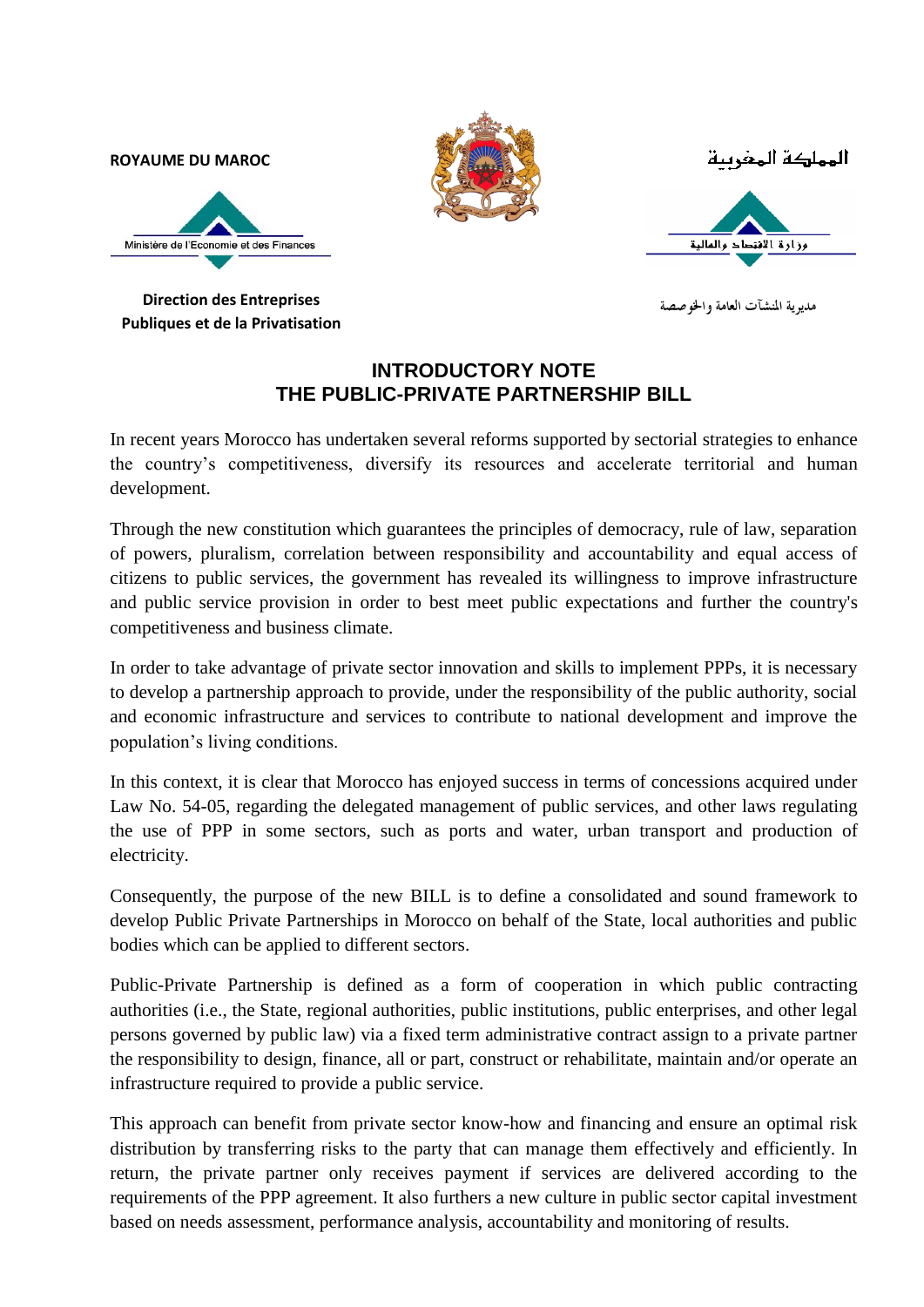**ROYAUME DU MAROC**



المملكة المغرسة



**Direction des Entreprises Publiques et de la Privatisation**

مديوية المنشآت العامة والخوصصة

## **INTRODUCTORY NOTE THE PUBLIC-PRIVATE PARTNERSHIP BILL**

In recent years Morocco has undertaken several reforms supported by sectorial strategies to enhance the country's competitiveness, diversify its resources and accelerate territorial and human development.

Through the new constitution which guarantees the principles of democracy, rule of law, separation of powers, pluralism, correlation between responsibility and accountability and equal access of citizens to public services, the government has revealed its willingness to improve infrastructure and public service provision in order to best meet public expectations and further the country's competitiveness and business climate.

In order to take advantage of private sector innovation and skills to implement PPPs, it is necessary to develop a partnership approach to provide, under the responsibility of the public authority, social and economic infrastructure and services to contribute to national development and improve the population's living conditions.

In this context, it is clear that Morocco has enjoyed success in terms of concessions acquired under Law No. 54-05, regarding the delegated management of public services, and other laws regulating the use of PPP in some sectors, such as ports and water, urban transport and production of electricity.

Consequently, the purpose of the new BILL is to define a consolidated and sound framework to develop Public Private Partnerships in Morocco on behalf of the State, local authorities and public bodies which can be applied to different sectors.

Public-Private Partnership is defined as a form of cooperation in which public contracting authorities (i.e., the State, regional authorities, public institutions, public enterprises, and other legal persons governed by public law) via a fixed term administrative contract assign to a private partner the responsibility to design, finance, all or part, construct or rehabilitate, maintain and/or operate an infrastructure required to provide a public service.

This approach can benefit from private sector know-how and financing and ensure an optimal risk distribution by transferring risks to the party that can manage them effectively and efficiently. In return, the private partner only receives payment if services are delivered according to the requirements of the PPP agreement. It also furthers a new culture in public sector capital investment based on needs assessment, performance analysis, accountability and monitoring of results.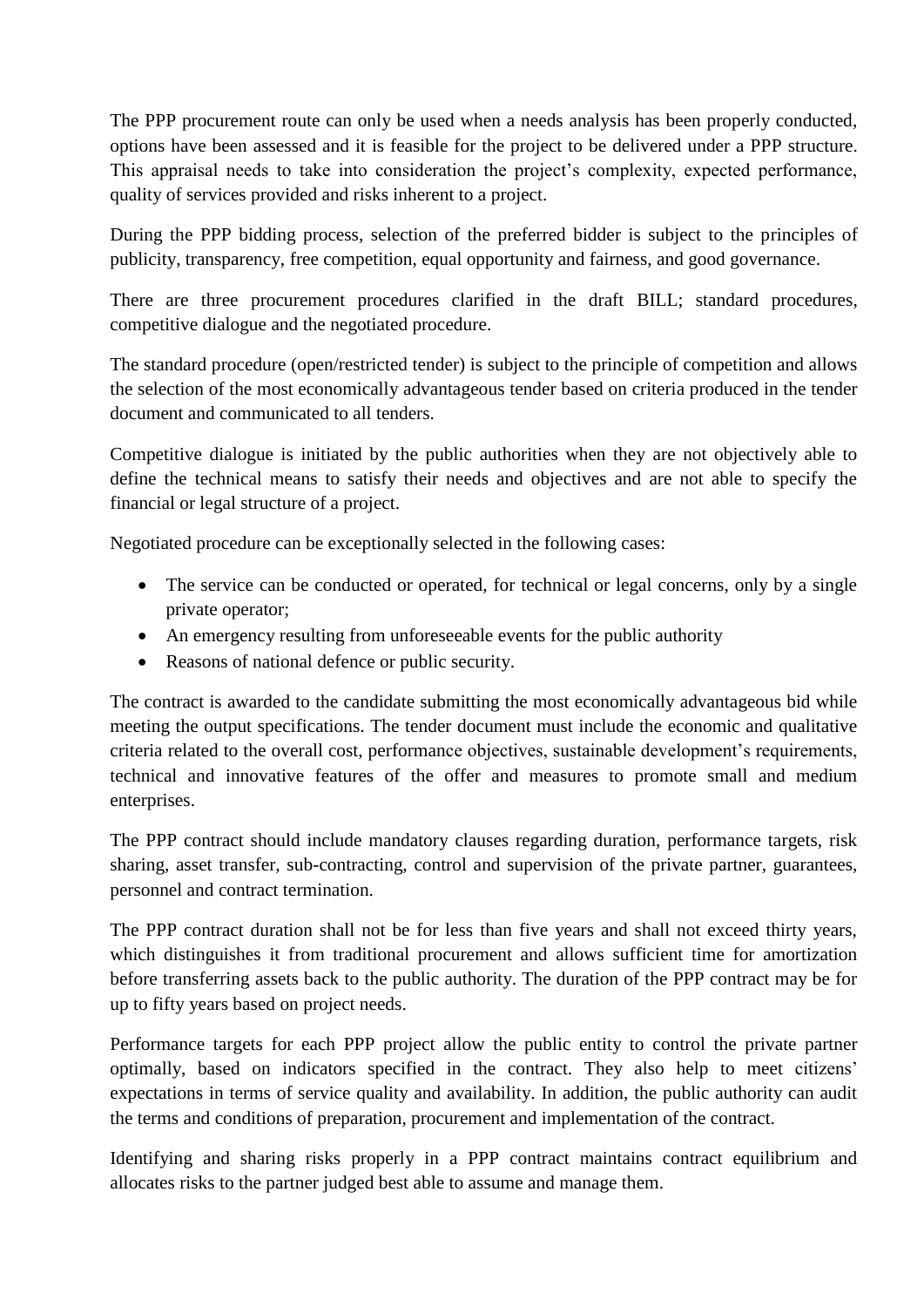The PPP procurement route can only be used when a needs analysis has been properly conducted, options have been assessed and it is feasible for the project to be delivered under a PPP structure. This appraisal needs to take into consideration the project's complexity, expected performance, quality of services provided and risks inherent to a project.

During the PPP bidding process, selection of the preferred bidder is subject to the principles of publicity, transparency, free competition, equal opportunity and fairness, and good governance.

There are three procurement procedures clarified in the draft BILL; standard procedures, competitive dialogue and the negotiated procedure.

The standard procedure (open/restricted tender) is subject to the principle of competition and allows the selection of the most economically advantageous tender based on criteria produced in the tender document and communicated to all tenders.

Competitive dialogue is initiated by the public authorities when they are not objectively able to define the technical means to satisfy their needs and objectives and are not able to specify the financial or legal structure of a project.

Negotiated procedure can be exceptionally selected in the following cases:

- The service can be conducted or operated, for technical or legal concerns, only by a single private operator;
- An emergency resulting from unforeseeable events for the public authority
- Reasons of national defence or public security.

The contract is awarded to the candidate submitting the most economically advantageous bid while meeting the output specifications. The tender document must include the economic and qualitative criteria related to the overall cost, performance objectives, sustainable development's requirements, technical and innovative features of the offer and measures to promote small and medium enterprises.

The PPP contract should include mandatory clauses regarding duration, performance targets, risk sharing, asset transfer, sub-contracting, control and supervision of the private partner, guarantees, personnel and contract termination.

The PPP contract duration shall not be for less than five years and shall not exceed thirty years, which distinguishes it from traditional procurement and allows sufficient time for amortization before transferring assets back to the public authority. The duration of the PPP contract may be for up to fifty years based on project needs.

Performance targets for each PPP project allow the public entity to control the private partner optimally, based on indicators specified in the contract. They also help to meet citizens' expectations in terms of service quality and availability. In addition, the public authority can audit the terms and conditions of preparation, procurement and implementation of the contract.

Identifying and sharing risks properly in a PPP contract maintains contract equilibrium and allocates risks to the partner judged best able to assume and manage them.